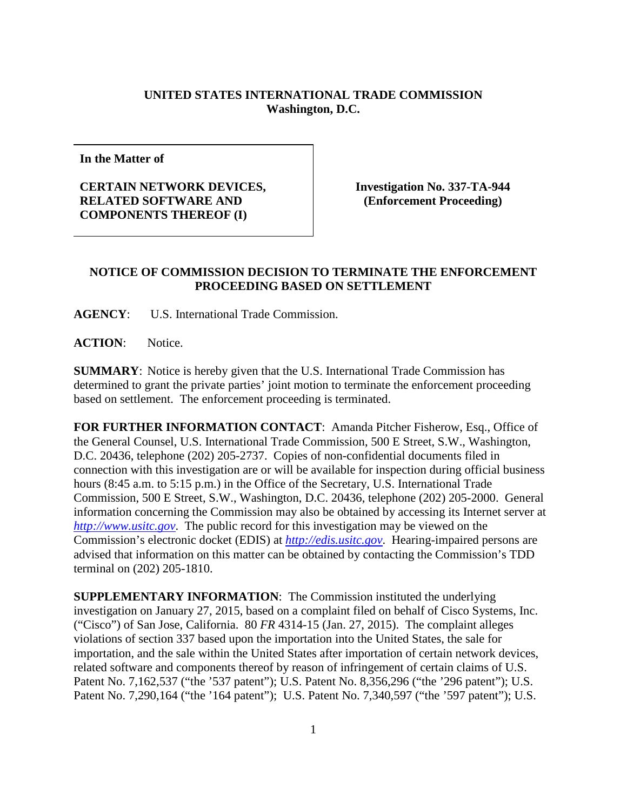## **UNITED STATES INTERNATIONAL TRADE COMMISSION Washington, D.C.**

**In the Matter of**

## **CERTAIN NETWORK DEVICES, RELATED SOFTWARE AND COMPONENTS THEREOF (I)**

**Investigation No. 337-TA-944 (Enforcement Proceeding)**

## **NOTICE OF COMMISSION DECISION TO TERMINATE THE ENFORCEMENT PROCEEDING BASED ON SETTLEMENT**

**AGENCY**: U.S. International Trade Commission.

**ACTION**: Notice.

**SUMMARY**: Notice is hereby given that the U.S. International Trade Commission has determined to grant the private parties' joint motion to terminate the enforcement proceeding based on settlement. The enforcement proceeding is terminated.

**FOR FURTHER INFORMATION CONTACT**: Amanda Pitcher Fisherow, Esq., Office of the General Counsel, U.S. International Trade Commission, 500 E Street, S.W., Washington, D.C. 20436, telephone (202) 205-2737. Copies of non-confidential documents filed in connection with this investigation are or will be available for inspection during official business hours (8:45 a.m. to 5:15 p.m.) in the Office of the Secretary, U.S. International Trade Commission, 500 E Street, S.W., Washington, D.C. 20436, telephone (202) 205-2000. General information concerning the Commission may also be obtained by accessing its Internet server at *[http://www.usitc.gov](http://www.usitc.gov/)*. The public record for this investigation may be viewed on the Commission's electronic docket (EDIS) at *[http://edis.usitc.gov](http://edis.usitc.gov/)*. Hearing-impaired persons are advised that information on this matter can be obtained by contacting the Commission's TDD terminal on (202) 205-1810.

**SUPPLEMENTARY INFORMATION**: The Commission instituted the underlying investigation on January 27, 2015, based on a complaint filed on behalf of Cisco Systems, Inc. ("Cisco") of San Jose, California. 80 *FR* 4314-15 (Jan. 27, 2015). The complaint alleges violations of section 337 based upon the importation into the United States, the sale for importation, and the sale within the United States after importation of certain network devices, related software and components thereof by reason of infringement of certain claims of U.S. Patent No. 7,162,537 ("the '537 patent"); U.S. Patent No. 8,356,296 ("the '296 patent"); U.S. Patent No. 7,290,164 ("the '164 patent"); U.S. Patent No. 7,340,597 ("the '597 patent"); U.S.